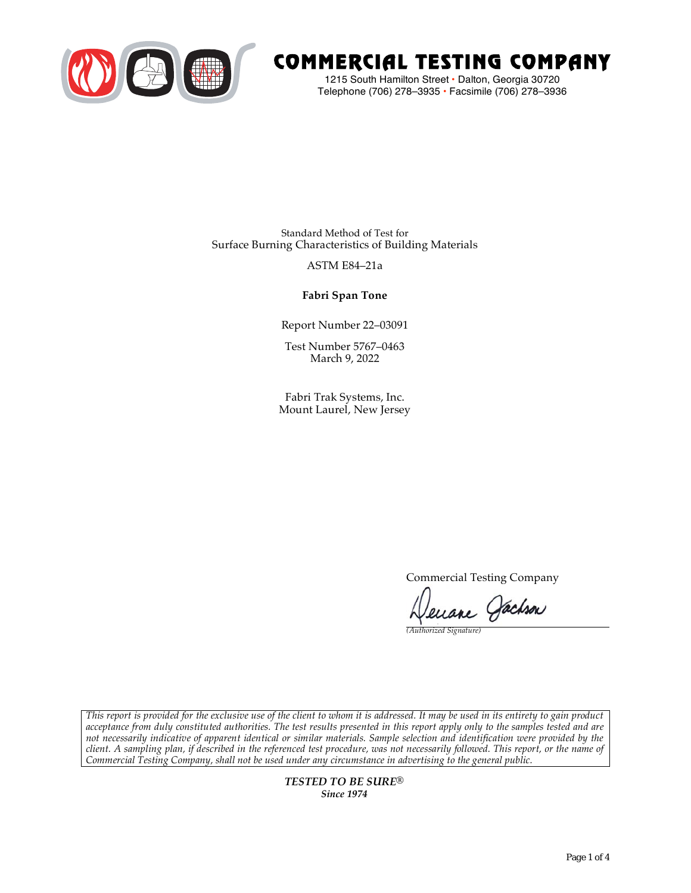

# COMMERCIAL TESTING COMPANY

1215 South Hamilton Street • Dalton, Georgia 30720 Telephone (706) 278–3935 **•** Facsimile (706) 278–3936

Standard Method of Test for Surface Burning Characteristics of Building Materials

### ASTM E84–21a

**Fabri Span Tone**

Report Number 22–03091

Test Number 5767–0463 March 9, 2022

Fabri Trak Systems, Inc. Mount Laurel, New Jersey

Commercial Testing Company

enane Jachson

*(Authorized Signature)* 

*This report is provided for the exclusive use of the client to whom it is addressed. It may be used in its entirety to gain product acceptance from duly constituted authorities. The test results presented in this report apply only to the samples tested and are not necessarily indicative of apparent identical or similar materials. Sample selection and identification were provided by the client. A sampling plan, if described in the referenced test procedure, was not necessarily followed. This report, or the name of Commercial Testing Company, shall not be used under any circumstance in advertising to the general public.* 

> *TESTED TO BE SURE® Since 1974*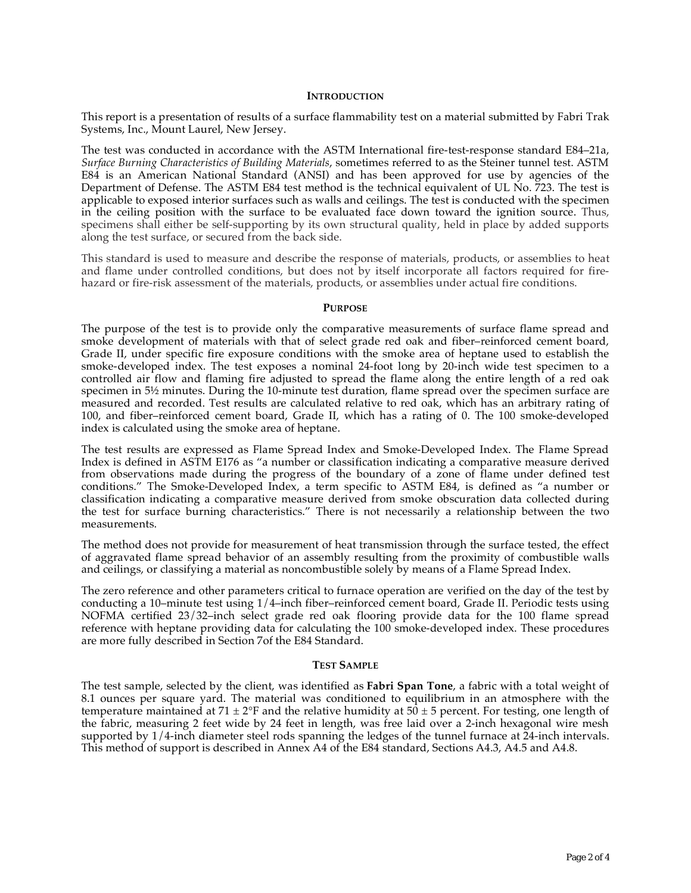#### **INTRODUCTION**

This report is a presentation of results of a surface flammability test on a material submitted by Fabri Trak Systems, Inc., Mount Laurel, New Jersey.

The test was conducted in accordance with the ASTM International fire-test-response standard E84–21a, *Surface Burning Characteristics of Building Materials*, sometimes referred to as the Steiner tunnel test. ASTM E84 is an American National Standard (ANSI) and has been approved for use by agencies of the Department of Defense. The ASTM E84 test method is the technical equivalent of UL No. 723. The test is applicable to exposed interior surfaces such as walls and ceilings. The test is conducted with the specimen in the ceiling position with the surface to be evaluated face down toward the ignition source. Thus, specimens shall either be self-supporting by its own structural quality, held in place by added supports along the test surface, or secured from the back side.

This standard is used to measure and describe the response of materials, products, or assemblies to heat and flame under controlled conditions, but does not by itself incorporate all factors required for firehazard or fire-risk assessment of the materials, products, or assemblies under actual fire conditions.

#### **PURPOSE**

The purpose of the test is to provide only the comparative measurements of surface flame spread and smoke development of materials with that of select grade red oak and fiber–reinforced cement board, Grade II, under specific fire exposure conditions with the smoke area of heptane used to establish the smoke-developed index. The test exposes a nominal 24-foot long by 20-inch wide test specimen to a controlled air flow and flaming fire adjusted to spread the flame along the entire length of a red oak specimen in  $5\frac{1}{2}$  minutes. During the 10-minute test duration, flame spread over the specimen surface are measured and recorded. Test results are calculated relative to red oak, which has an arbitrary rating of 100, and fiber–reinforced cement board, Grade II, which has a rating of 0. The 100 smoke-developed index is calculated using the smoke area of heptane.

The test results are expressed as Flame Spread Index and Smoke-Developed Index. The Flame Spread Index is defined in ASTM E176 as "a number or classification indicating a comparative measure derived from observations made during the progress of the boundary of a zone of flame under defined test conditions." The Smoke-Developed Index, a term specific to ASTM E84, is defined as "a number or classification indicating a comparative measure derived from smoke obscuration data collected during the test for surface burning characteristics." There is not necessarily a relationship between the two measurements.

The method does not provide for measurement of heat transmission through the surface tested, the effect of aggravated flame spread behavior of an assembly resulting from the proximity of combustible walls and ceilings, or classifying a material as noncombustible solely by means of a Flame Spread Index.

The zero reference and other parameters critical to furnace operation are verified on the day of the test by conducting a 10–minute test using 1/4–inch fiber–reinforced cement board, Grade II. Periodic tests using NOFMA certified 23/32–inch select grade red oak flooring provide data for the 100 flame spread reference with heptane providing data for calculating the 100 smoke-developed index. These procedures are more fully described in Section 7of the E84 Standard.

#### **TEST SAMPLE**

The test sample, selected by the client, was identified as **Fabri Span Tone**, a fabric with a total weight of 8.1 ounces per square yard. The material was conditioned to equilibrium in an atmosphere with the temperature maintained at 71  $\pm$  2°F and the relative humidity at 50  $\pm$  5 percent. For testing, one length of the fabric, measuring 2 feet wide by 24 feet in length, was free laid over a 2-inch hexagonal wire mesh supported by 1/4-inch diameter steel rods spanning the ledges of the tunnel furnace at 24-inch intervals. This method of support is described in Annex A4 of the E84 standard, Sections A4.3, A4.5 and A4.8.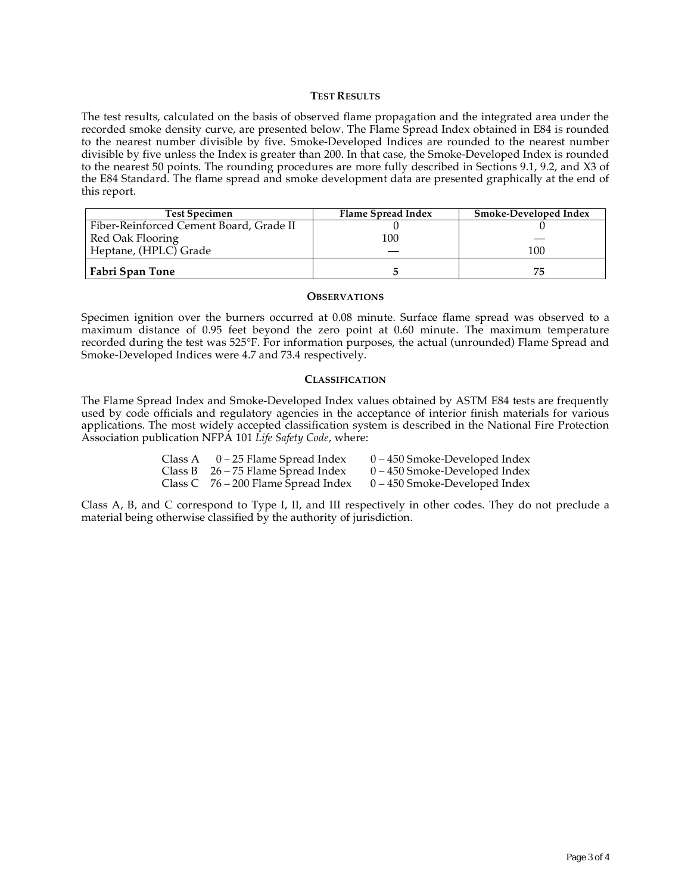#### **TEST RESULTS**

The test results, calculated on the basis of observed flame propagation and the integrated area under the recorded smoke density curve, are presented below. The Flame Spread Index obtained in E84 is rounded to the nearest number divisible by five. Smoke-Developed Indices are rounded to the nearest number divisible by five unless the Index is greater than 200. In that case, the Smoke-Developed Index is rounded to the nearest 50 points. The rounding procedures are more fully described in Sections 9.1, 9.2, and X3 of the E84 Standard. The flame spread and smoke development data are presented graphically at the end of this report.

| <b>Test Specimen</b>                    | Flame Spread Index | Smoke-Developed Index |
|-----------------------------------------|--------------------|-----------------------|
| Fiber-Reinforced Cement Board, Grade II |                    |                       |
| Red Oak Flooring                        | 100                |                       |
| Heptane, (HPLC) Grade                   |                    | 100                   |
| Fabri Span Tone                         |                    | 75                    |

#### **OBSERVATIONS**

Specimen ignition over the burners occurred at 0.08 minute. Surface flame spread was observed to a maximum distance of 0.95 feet beyond the zero point at 0.60 minute. The maximum temperature recorded during the test was 525°F. For information purposes, the actual (unrounded) Flame Spread and Smoke-Developed Indices were 4.7 and 73.4 respectively.

#### **CLASSIFICATION**

The Flame Spread Index and Smoke-Developed Index values obtained by ASTM E84 tests are frequently used by code officials and regulatory agencies in the acceptance of interior finish materials for various applications. The most widely accepted classification system is described in the National Fire Protection Association publication NFPA 101 *Life Safety Code*, where:

| Class A $0-25$ Flame Spread Index     | $0 - 450$ Smoke-Developed Index |
|---------------------------------------|---------------------------------|
| Class B $26 - 75$ Flame Spread Index  | $0 - 450$ Smoke-Developed Index |
| Class C $76 - 200$ Flame Spread Index | $0 - 450$ Smoke-Developed Index |

Class A, B, and C correspond to Type I, II, and III respectively in other codes. They do not preclude a material being otherwise classified by the authority of jurisdiction.